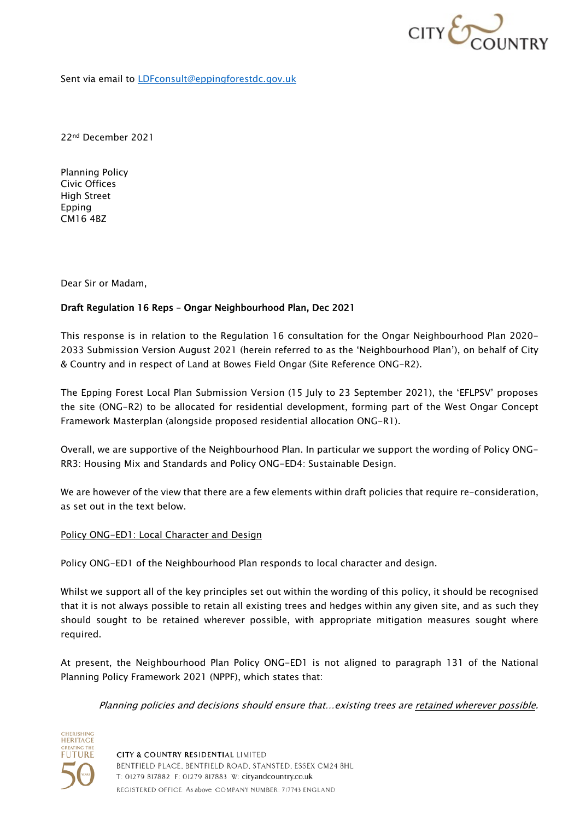

Sent via email to **LDFconsult@eppingforestdc.gov.uk** 

22nd December 2021

Planning Policy Civic Offices High Street Epping CM16 4BZ

Dear Sir or Madam,

## Draft Regulation 16 Reps – Ongar Neighbourhood Plan, Dec 2021

This response is in relation to the Regulation 16 consultation for the Ongar Neighbourhood Plan 2020- 2033 Submission Version August 2021 (herein referred to as the 'Neighbourhood Plan'), on behalf of City & Country and in respect of Land at Bowes Field Ongar (Site Reference ONG-R2).

The Epping Forest Local Plan Submission Version (15 July to 23 September 2021), the 'EFLPSV' proposes the site (ONG-R2) to be allocated for residential development, forming part of the West Ongar Concept Framework Masterplan (alongside proposed residential allocation ONG-R1).

Overall, we are supportive of the Neighbourhood Plan. In particular we support the wording of Policy ONG-RR3: Housing Mix and Standards and Policy ONG-ED4: Sustainable Design.

We are however of the view that there are a few elements within draft policies that require re-consideration, as set out in the text below.

## Policy ONG-ED1: Local Character and Design

Policy ONG-ED1 of the Neighbourhood Plan responds to local character and design.

Whilst we support all of the key principles set out within the wording of this policy, it should be recognised that it is not always possible to retain all existing trees and hedges within any given site, and as such they should sought to be retained wherever possible, with appropriate mitigation measures sought where required.

At present, the Neighbourhood Plan Policy ONG-ED1 is not aligned to paragraph 131 of the National Planning Policy Framework 2021 (NPPF), which states that:

Planning policies and decisions should ensure that…existing trees are retained wherever possible.



CITY & COUNTRY RESIDENTIAL LIMITED BENTFIELD PLACE, BENTFIELD ROAD, STANSTED, ESSEX CM24 8HL T: 01279 817882 F: 01279 817883 W: cityandcountry.co.uk REGISTERED OFFICE: As above COMPANY NUMBER: 717743 ENGLAND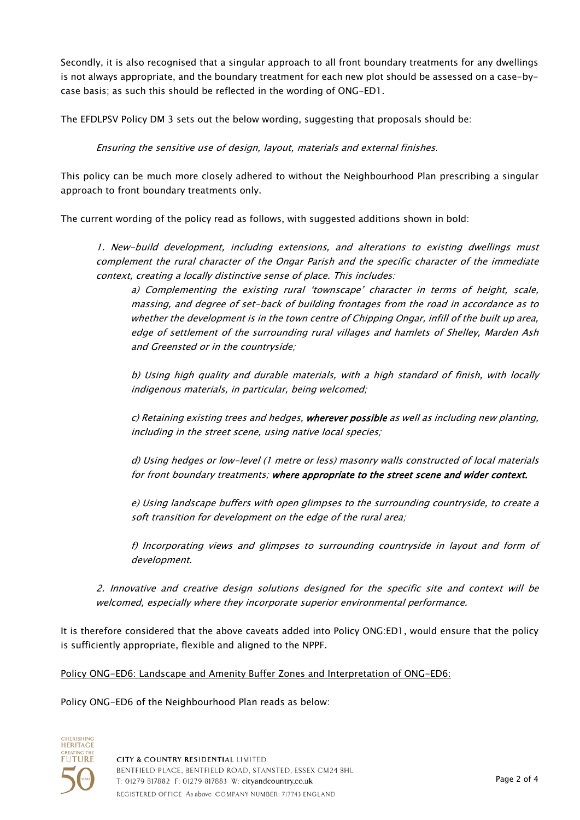Secondly, it is also recognised that a singular approach to all front boundary treatments for any dwellings is not always appropriate, and the boundary treatment for each new plot should be assessed on a case-bycase basis; as such this should be reflected in the wording of ONG-ED1.

The EFDLPSV Policy DM 3 sets out the below wording, suggesting that proposals should be:

Ensuring the sensitive use of design, layout, materials and external finishes.

This policy can be much more closely adhered to without the Neighbourhood Plan prescribing a singular approach to front boundary treatments only.

The current wording of the policy read as follows, with suggested additions shown in bold:

1. New-build development, including extensions, and alterations to existing dwellings must complement the rural character of the Ongar Parish and the specific character of the immediate context, creating a locally distinctive sense of place. This includes:

a) Complementing the existing rural 'townscape' character in terms of height, scale, massing, and degree of set-back of building frontages from the road in accordance as to whether the development is in the town centre of Chipping Ongar, infill of the built up area, edge of settlement of the surrounding rural villages and hamlets of Shelley, Marden Ash and Greensted or in the countryside;

b) Using high quality and durable materials, with a high standard of finish, with locally indigenous materials, in particular, being welcomed;

c) Retaining existing trees and hedges, wherever possible as well as including new planting, including in the street scene, using native local species;

d) Using hedges or low-level (1 metre or less) masonry walls constructed of local materials for front boundary treatments; where appropriate to the street scene and wider context.

e) Using landscape buffers with open glimpses to the surrounding countryside, to create a soft transition for development on the edge of the rural area;

f) Incorporating views and glimpses to surrounding countryside in layout and form of development.

2. Innovative and creative design solutions designed for the specific site and context will be welcomed, especially where they incorporate superior environmental performance.

It is therefore considered that the above caveats added into Policy ONG:ED1, would ensure that the policy is sufficiently appropriate, flexible and aligned to the NPPF.

## Policy ONG-ED6: Landscape and Amenity Buffer Zones and Interpretation of ONG-ED6:

Policy ONG-ED6 of the Neighbourhood Plan reads as below: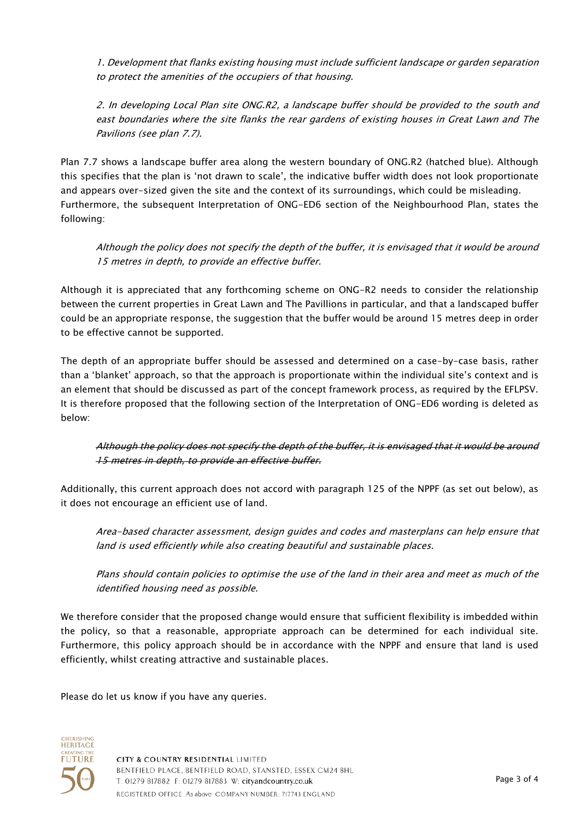1. Development that flanks existing housing must include sufficient landscape or garden separation to protect the amenities of the occupiers of that housing.

2. In developing Local Plan site ONG.R2, a landscape buffer should be provided to the south and east boundaries where the site flanks the rear gardens of existing houses in Great Lawn and The Pavilions (see plan 7.7).

Plan 7.7 shows a landscape buffer area along the western boundary of ONG.R2 (hatched blue). Although this specifies that the plan is 'not drawn to scale', the indicative buffer width does not look proportionate and appears over-sized given the site and the context of its surroundings, which could be misleading. Furthermore, the subsequent Interpretation of ONG-ED6 section of the Neighbourhood Plan, states the following:

Although the policy does not specify the depth of the buffer, it is envisaged that it would be around 15 metres in depth, to provide an effective buffer.

Although it is appreciated that any forthcoming scheme on ONG-R2 needs to consider the relationship between the current properties in Great Lawn and The Pavillions in particular, and that a landscaped buffer could be an appropriate response, the suggestion that the buffer would be around 15 metres deep in order to be effective cannot be supported.

The depth of an appropriate buffer should be assessed and determined on a case-by-case basis, rather than a 'blanket' approach, so that the approach is proportionate within the individual site's context and is an element that should be discussed as part of the concept framework process, as required by the EFLPSV. It is therefore proposed that the following section of the Interpretation of ONG-ED6 wording is deleted as below:

Although the policy does not specify the depth of the buffer, it is envisaged that it would be around 15 metres in depth, to provide an effective buffer.

Additionally, this current approach does not accord with paragraph 125 of the NPPF (as set out below), as it does not encourage an efficient use of land.

Area-based character assessment, design guides and codes and masterplans can help ensure that land is used efficiently while also creating beautiful and sustainable places.

Plans should contain policies to optimise the use of the land in their area and meet as much of the identified housing need as possible.

We therefore consider that the proposed change would ensure that sufficient flexibility is imbedded within the policy, so that a reasonable, appropriate approach can be determined for each individual site. Furthermore, this policy approach should be in accordance with the NPPF and ensure that land is used efficiently, whilst creating attractive and sustainable places.

Please do let us know if you have any queries.